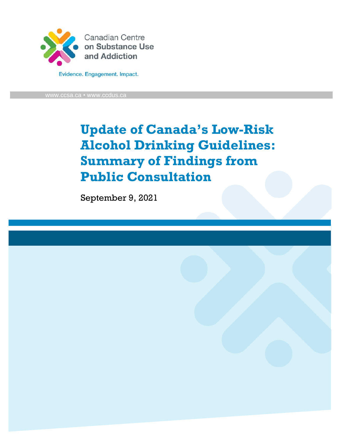

w.ccsa.ca • www.ccdus.ca

**Update of Canada's Low-Risk Alcohol Drinking Guidelines: Summary of Findings from Public Consultation**

September 9, 2021

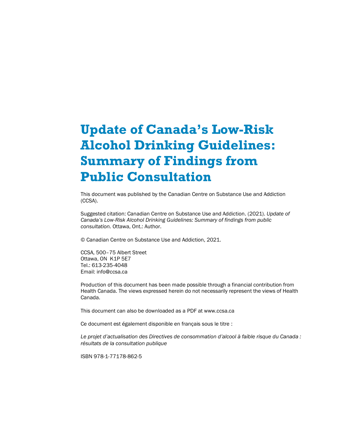# **Update of Canada's Low-Risk Alcohol Drinking Guidelines: Summary of Findings from Public Consultation**

This document was published by the Canadian Centre on Substance Use and Addiction (CCSA).

Suggested citation: Canadian Centre on Substance Use and Addiction. (2021). *Update of Canada's Low-Risk Alcohol Drinking Guidelines: Summary of findings from public consultation.* Ottawa, Ont.: Author.

© Canadian Centre on Substance Use and Addiction, 2021.

CCSA, 500–75 Albert Street Ottawa, ON K1P 5E7 Tel.: 613-235-4048 Email: info@ccsa.ca

Production of this document has been made possible through a financial contribution from Health Canada. The views expressed herein do not necessarily represent the views of Health Canada.

This document can also be downloaded as a PDF at www.ccsa.ca

Ce document est également disponible en français sous le titre :

*Le projet d'actualisation des Directives de consommation d'alcool à faible risque du Canada : résultats de la consultation publique*

ISBN 978-1-77178-862-5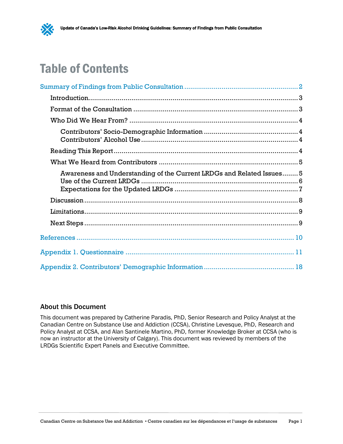# Table of Contents

| Awareness and Understanding of the Current LRDGs and Related Issues 5 |  |
|-----------------------------------------------------------------------|--|
|                                                                       |  |
|                                                                       |  |
|                                                                       |  |
|                                                                       |  |
|                                                                       |  |
|                                                                       |  |

## [About this Document](#page-19-1)

[This document was prepared](#page-19-1) by Catherine Paradis, PhD, Senior Research and Policy Analyst at the Canadian Centre on Substance Use and Addiction (CCSA), Christine Levesque, PhD, Research and Policy Analyst at CCSA, and Alan Santinele Martino, PhD, former Knowledge Broker at CCSA (who is now an instructor at the University of Calgary). This document was reviewed by members of the LRDGs Scientific Expert Panels and Executive Committee.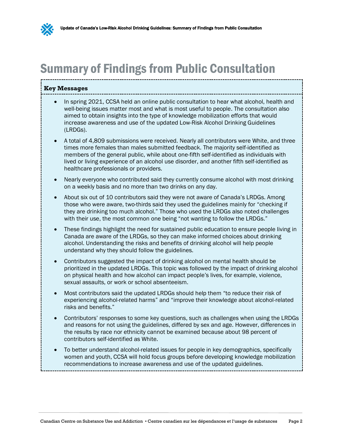# <span id="page-3-0"></span>Summary of Findings from Public Consultation

### **Key Messages**

- <span id="page-3-1"></span>• In spring 2021, CCSA held an online public consultation to hear what alcohol, health and well-being issues matter most and what is most useful to people. The consultation also aimed to obtain insights into the type of knowledge mobilization efforts that would increase awareness and use of the updated Low-Risk Alcohol Drinking Guidelines (LRDGs).
- A total of 4,809 submissions were received. Nearly all contributors were White, and three times more females than males submitted feedback. The majority self-identified as members of the general public, while about one-fifth self-identified as individuals with lived or living experience of an alcohol use disorder, and another fifth self-identified as healthcare professionals or providers.
- Nearly everyone who contributed said they currently consume alcohol with most drinking on a weekly basis and no more than two drinks on any day.
- About six out of 10 contributors said they were not aware of Canada's LRDGs. Among those who were aware, two-thirds said they used the guidelines mainly for "checking if they are drinking too much alcohol." Those who used the LRDGs also noted challenges with their use, the most common one being "not wanting to follow the LRDGs."
- These findings highlight the need for sustained public education to ensure people living in Canada are aware of the LRDGs, so they can make informed choices about drinking alcohol. Understanding the risks and benefits of drinking alcohol will help people understand why they should follow the guidelines.
- Contributors suggested the impact of drinking alcohol on mental health should be prioritized in the updated LRDGs. This topic was followed by the impact of drinking alcohol on physical health and how alcohol can impact people's lives, for example, violence, sexual assaults, or work or school absenteeism.
- Most contributors said the updated LRDGs should help them "to reduce their risk of experiencing alcohol-related harms" and "improve their knowledge about alcohol-related risks and benefits."
- Contributors' responses to some key questions, such as challenges when using the LRDGs and reasons for not using the guidelines, differed by sex and age. However, differences in the results by race nor ethnicity cannot be examined because about 98 percent of contributors self-identified as White.
- To better understand alcohol-related issues for people in key demographics, specifically women and youth, CCSA will hold focus groups before developing knowledge mobilization recommendations to increase awareness and use of the updated guidelines.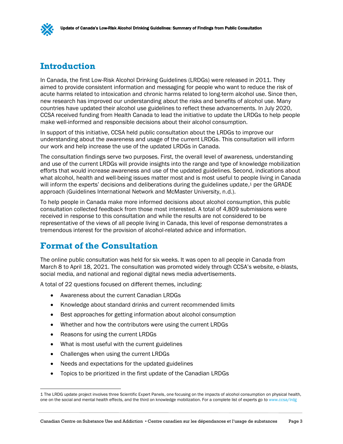## <span id="page-4-2"></span><span id="page-4-0"></span>**Introduction**

In Canada, the first Low-Risk Alcohol Drinking Guidelines (LRDGs) were released in 2011. They aimed to provide consistent information and messaging for people who want to reduce the risk of acute harms related to intoxication and chronic harms related to long-term alcohol use. Since then, new research has improved our understanding about the risks and benefits of alcohol use. Many countries have updated their alcohol use guidelines to reflect these advancements. In July 2020, CCSA received funding from Health Canada to lead the initiative to update the LRDGs to help people make well-informed and responsible decisions about their alcohol consumption.

In support of this initiative, CCSA held public consultation about the LRDGs to improve our understanding about the awareness and usage of the current LRDGs. This consultation will inform our work and help increase the use of the updated LRDGs in Canada.

The consultation findings serve two purposes. First, the overall level of awareness, understanding and use of the current LRDGs will provide insights into the range and type of knowledge mobilization efforts that would increase awareness and use of the updated guidelines. Second, indications about what alcohol, health and well-being issues matter most and is most useful to people living in Canada will inform the experts' decisions and deliberations during the guidelines update,<sup>1</sup> per the GRADE approach (Guidelines International Network and McMaster University, n.d.).

To help people in Canada make more informed decisions about alcohol consumption, this public consultation collected feedback from those most interested. A total of 4,809 submissions were received in response to this consultation and while the results are not considered to be representative of the views of all people living in Canada, this level of response demonstrates a tremendous interest for the provision of alcohol-related advice and information.

## <span id="page-4-3"></span><span id="page-4-1"></span>**Format of the Consultation**

The online public consultation was held for six weeks. It was open to all people in Canada from March 8 to April 18, 2021. The consultation was promoted widely through CCSA's website, e-blasts, social media, and national and regional digital news media advertisements.

A total of 22 questions focused on different themes, including:

- Awareness about the current Canadian LRDGs
- Knowledge about standard drinks and current recommended limits
- Best approaches for getting information about alcohol consumption
- Whether and how the contributors were using the current LRDGs
- Reasons for using the current LRDGs
- What is most useful with the current guidelines
- Challenges when using the current LRDGs
- Needs and expectations for the updated guidelines
- Topics to be prioritized in the first update of the Canadian LRDGs

<sup>1</sup> The LRDG update project involves three Scientific Expert Panels, one focusing on the impacts of alcohol consumption on physical health, one on the social and mental health effects, and the third on knowledge mobilization. For a complete list of experts go t[o www.ccsa/lrdg](http://www.ccsa/lrdg)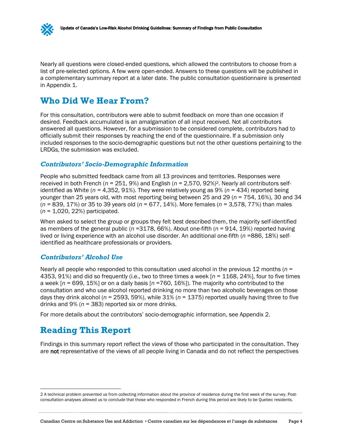

Nearly all questions were closed-ended questions, which allowed the contributors to choose from a list of pre-selected options. A few were open-ended. Answers to these questions will be published in a complementary summary report at a later date. The public consultation questionnaire is presented in Appendix 1.

## <span id="page-5-4"></span><span id="page-5-0"></span>**Who Did We Hear From?**

For this consultation, contributors were able to submit feedback on more than one occasion if desired. Feedback accumulated is an amalgamation of all input received. Not all contributors answered all questions. However, for a submission to be considered complete, contributors had to officially submit their responses by reaching the end of the questionnaire. If a submission only included responses to the socio-demographic questions but not the other questions pertaining to the LRDGs, the submission was excluded.

### <span id="page-5-5"></span><span id="page-5-1"></span>*Contributors' Socio-Demographic Information*

People who submitted feedback came from all 13 provinces and territories. Responses were received in both French (*n* = 251, 9%) and English (*n* = 2,570, 92%)2. Nearly all contributors selfidentified as White ( $n = 4,352,91\%$ ). They were relatively young as 9% ( $n = 434$ ) reported being younger than 25 years old, with most reporting being between 25 and 29 (*n* = 754, 16%), 30 and 34 (*n =* 839, 17%) or 35 to 39 years old (*n* = 677, 14%). More females (*n* = 3,578, 77%) than males (*n* = 1,020, 22%) participated.

When asked to select the group or groups they felt best described them, the majority self-identified as members of the general public (*n* =3178, 66%). About one-fifth (*n* = 914, 19%) reported having lived or living experience with an alcohol use disorder. An additional one-fifth (*n* =886, 18%) selfidentified as healthcare professionals or providers.

## <span id="page-5-6"></span><span id="page-5-2"></span>*Contributors' Alcohol Use*

Nearly all people who responded to this consultation used alcohol in the previous 12 months (*n* = 4353, 91%) and did so frequently (i.e., two to three times a week [*n* = 1168, 24%], four to five times a week [*n* = 699, 15%] or on a daily basis [*n* =760, 16%]). The majority who contributed to the consultation and who use alcohol reported drinking no more than two alcoholic beverages on those days they drink alcohol (*n* = 2593, 59%), while 31% (*n* = 1375) reported usually having three to five drinks and 9% (*n* = 383) reported six or more drinks.

For more details about the contributors' socio-demographic information, see Appendix 2.

# <span id="page-5-7"></span><span id="page-5-3"></span>**Reading This Report**

Findings in this summary report reflect the views of those who participated in the consultation. They are not representative of the views of all people living in Canada and do not reflect the perspectives

<sup>2</sup> A technical problem prevented us from collecting information about the province of residence during the first week of the survey. Postconsultation analyses allowed us to conclude that those who responded in French during this period are likely to be Quebec residents.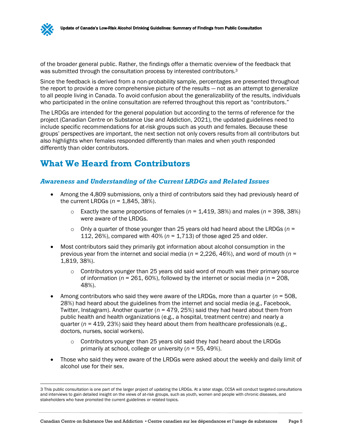of the broader general public. Rather, the findings offer a thematic overview of the feedback that was submitted through the consultation process by interested contributors.<sup>3</sup>

Since the feedback is derived from a non-probability sample, percentages are presented throughout the report to provide a more comprehensive picture of the results — not as an attempt to generalize to all people living in Canada. To avoid confusion about the generalizability of the results, individuals who participated in the online consultation are referred throughout this report as "contributors."

The LRDGs are intended for the general population but according to the terms of reference for the project (Canadian Centre on Substance Use and Addiction, 2021), the updated guidelines need to include specific recommendations for at-risk groups such as youth and females. Because these groups' perspectives are important, the next section not only covers results from all contributors but also highlights when females responded differently than males and when youth responded differently than older contributors.

# <span id="page-6-0"></span>**What We Heard from Contributors**

### <span id="page-6-1"></span>*Awareness and Understanding of the Current LRDGs and Related Issues*

- <span id="page-6-3"></span><span id="page-6-2"></span>• Among the 4,809 submissions, only a third of contributors said they had previously heard of the current LRDGs (*n* = 1,845, 38%).
	- $\circ$  Exactly the same proportions of females ( $n = 1,419,38\%$ ) and males ( $n = 398,38\%$ ) were aware of the LRDGs.
	- o Only a quarter of those younger than 25 years old had heard about the LRDGs (*n* = 112, 26%), compared with 40% (*n* = 1,713) of those aged 25 and older.
- Most contributors said they primarily got information about alcohol consumption in the previous year from the internet and social media (*n* = 2,226, 46%), and word of mouth (*n* = 1,819, 38%).
	- $\circ$  Contributors younger than 25 years old said word of mouth was their primary source of information (*n* = 261, 60%), followed by the internet or social media (*n* = 208, 48%).
- Among contributors who said they were aware of the LRDGs, more than a quarter  $(n = 508,$ 28%) had heard about the guidelines from the internet and social media (e.g., Facebook, Twitter, Instagram). Another quarter (*n* = 479, 25%) said they had heard about them from public health and health organizations (e.g., a hospital, treatment centre) and nearly a quarter ( $n = 419$ , 23%) said they heard about them from healthcare professionals (e.g., doctors, nurses, social workers).
	- $\circ$  Contributors younger than 25 years old said they had heard about the LRDGs primarily at school, college or university (*n* = 55, 49%).
- Those who said they were aware of the LRDGs were asked about the weekly and daily limit of alcohol use for their sex.

<sup>3</sup> This public consultation is one part of the larger project of updating the LRDGs. At a later stage, CCSA will conduct targeted consultations and interviews to gain detailed insight on the views of at-risk groups, such as youth, women and people with chronic diseases, and stakeholders who have promoted the current guidelines or related topics.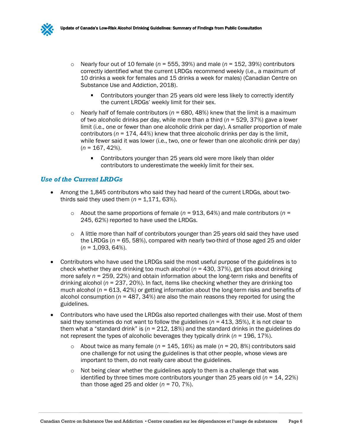

- $\circ$  Nearly four out of 10 female ( $n = 555, 39\%$ ) and male ( $n = 152, 39\%$ ) contributors correctly identified what the current LRDGs recommend weekly (i.e., a maximum of 10 drinks a week for females and 15 drinks a week for males) (Canadian Centre on Substance Use and Addiction, 2018).
	- Contributors younger than 25 years old were less likely to correctly identify the current LRDGs' weekly limit for their sex.
- $\circ$  Nearly half of female contributors ( $n = 680, 48\%$ ) knew that the limit is a maximum of two alcoholic drinks per day, while more than a third (*n* = 529, 37%) gave a lower limit (i.e., one or fewer than one alcoholic drink per day). A smaller proportion of male contributors (*n* = 174, 44%) knew that three alcoholic drinks per day is the limit, while fewer said it was lower (i.e., two, one or fewer than one alcoholic drink per day) (*n* = 167, 42%).
	- **Contributors younger than 25 years old were more likely than older** contributors to underestimate the weekly limit for their sex.

## <span id="page-7-0"></span>*Use of the Current LRDGs*

- <span id="page-7-1"></span>• Among the 1,845 contributors who said they had heard of the current LRDGs, about twothirds said they used them  $(n = 1,171, 63\%)$ .
	- $\circ$  About the same proportions of female ( $n = 913, 64\%$ ) and male contributors ( $n =$ 245, 62%) reported to have used the LRDGs.
	- $\circ$  A little more than half of contributors younger than 25 years old said they have used the LRDGs ( $n = 65$ , 58%), compared with nearly two-third of those aged 25 and older (*n* = 1,093, 64%).
- Contributors who have used the LRDGs said the most useful purpose of the guidelines is to check whether they are drinking too much alcohol (*n* = 430, 37%), get tips about drinking more safely *n* = 259, 22%) and obtain information about the long-term risks and benefits of drinking alcohol (*n* = 237, 20%). In fact, items like checking whether they are drinking too much alcohol (*n* = 613, 42%) or getting information about the long-term risks and benefits of alcohol consumption ( $n = 487$ , 34%) are also the main reasons they reported for using the guidelines.
- Contributors who have used the LRDGs also reported challenges with their use. Most of them said they sometimes do not want to follow the guidelines ( $n = 413$ ,  $35\%$ ), it is not clear to them what a "standard drink" is (*n* = 212, 18%) and the standard drinks in the guidelines do not represent the types of alcoholic beverages they typically drink (*n* = 196, 17%).
	- $\circ$  About twice as many female ( $n = 145, 16\%$ ) as male ( $n = 20, 8\%$ ) contributors said one challenge for not using the guidelines is that other people, whose views are important to them, do not really care about the guidelines.
	- $\circ$  Not being clear whether the guidelines apply to them is a challenge that was identified by three times more contributors younger than 25 years old (*n* = 14, 22%) than those aged 25 and older (*n* = 70, 7%).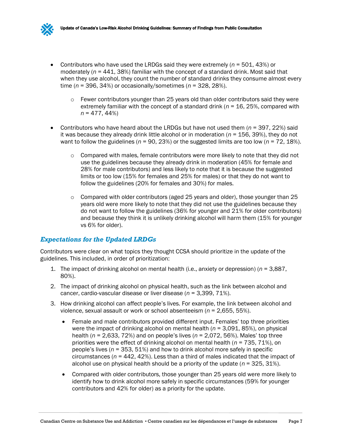- Contributors who have used the LRDGs said they were extremely (*n* = 501, 43%) or moderately (*n* = 441, 38%) familiar with the concept of a standard drink. Most said that when they use alcohol, they count the number of standard drinks they consume almost every time (*n* = 396, 34%) or occasionally/sometimes (*n* = 328, 28%).
	- $\circ$  Fewer contributors younger than 25 years old than older contributors said they were extremely familiar with the concept of a standard drink (*n* = 16, 25%, compared with *n* = 477, 44%)
- Contributors who have heard about the LRDGs but have not used them (*n* = 397, 22%) said it was because they already drink little alcohol or in moderation (*n* = 156, 39%), they do not want to follow the guidelines (*n* = 90, 23%) or the suggested limits are too low (*n* = 72, 18%).
	- $\circ$  Compared with males, female contributors were more likely to note that they did not use the guidelines because they already drink in moderation (45% for female and 28% for male contributors) and less likely to note that it is because the suggested limits or too low (15% for females and 25% for males) or that they do not want to follow the guidelines (20% for females and 30%) for males.
	- $\circ$  Compared with older contributors (aged 25 years and older), those younger than 25 years old were more likely to note that they did not use the guidelines because they do not want to follow the guidelines (36% for younger and 21% for older contributors) and because they think it is unlikely drinking alcohol will harm them (15% for younger vs 6% for older).

## <span id="page-8-0"></span>*Expectations for the Updated LRDGs*

Contributors were clear on what topics they thought CCSA should prioritize in the update of the guidelines. This included, in order of prioritization:

- <span id="page-8-1"></span>1. The impact of drinking alcohol on mental health (i.e., anxiety or depression) (*n* = 3,887, 80%).
- 2. The impact of drinking alcohol on physical health, such as the link between alcohol and cancer, cardio-vascular disease or liver disease (*n* = 3,399, 71%).
- 3. How drinking alcohol can affect people's lives. For example, the link between alcohol and violence, sexual assault or work or school absenteeism (*n* = 2,655, 55%).
	- Female and male contributors provided different input. Females' top three priorities were the impact of drinking alcohol on mental health (*n* = 3,091, 85%), on physical health (*n* = 2,633, 72%) and on people's lives (*n* = 2,072, 56%). Males' top three priorities were the effect of drinking alcohol on mental health (*n* = 735, 71%), on people's lives (*n* = 353, 51%) and how to drink alcohol more safely in specific circumstances (*n* = 442, 42%). Less than a third of males indicated that the impact of alcohol use on physical health should be a priority of the update  $(n = 325, 31\%)$ .
	- Compared with older contributors, those younger than 25 years old were more likely to identify how to drink alcohol more safely in specific circumstances (59% for younger contributors and 42% for older) as a priority for the update.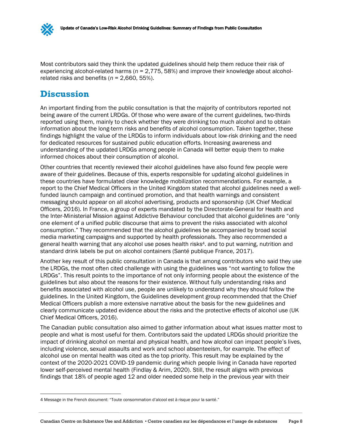Most contributors said they think the updated guidelines should help them reduce their risk of experiencing alcohol-related harms (*n* = 2,775, 58%) and improve their knowledge about alcoholrelated risks and benefits (*n* = 2,660, 55%).

## <span id="page-9-1"></span><span id="page-9-0"></span>**Discussion**

An important finding from the public consultation is that the majority of contributors reported not being aware of the current LRDGs. Of those who were aware of the current guidelines, two-thirds reported using them, mainly to check whether they were drinking too much alcohol and to obtain information about the long-term risks and benefits of alcohol consumption. Taken together, these findings highlight the value of the LRDGs to inform individuals about low-risk drinking and the need for dedicated resources for sustained public education efforts. Increasing awareness and understanding of the updated LRDGs among people in Canada will better equip them to make informed choices about their consumption of alcohol.

Other countries that recently reviewed their alcohol guidelines have also found few people were aware of their guidelines. Because of this, experts responsible for updating alcohol guidelines in these countries have formulated clear knowledge mobilization recommendations. For example, a report to the Chief Medical Officers in the United Kingdom stated that alcohol guidelines need a wellfunded launch campaign and continued promotion, and that health warnings and consistent messaging should appear on all alcohol advertising, products and sponsorship (UK Chief Medical Officers, 2016). In France, a group of experts mandated by the Directorate-General for Health and the Inter-Ministerial Mission against Addictive Behaviour concluded that alcohol guidelines are "only one element of a unified public discourse that aims to prevent the risks associated with alcohol consumption." They recommended that the alcohol guidelines be accompanied by broad social media marketing campaigns and supported by health professionals. They also recommended a general health warning that any alcohol use poses health risks4. and to put warning, nutrition and standard drink labels be put on alcohol containers (Santé publique France, 2017).

Another key result of this public consultation in Canada is that among contributors who said they use the LRDGs, the most often cited challenge with using the guidelines was "not wanting to follow the LRDGs". This result points to the importance of not only informing people about the existence of the guidelines but also about the reasons for their existence. Without fully understanding risks and benefits associated with alcohol use, people are unlikely to understand why they should follow the guidelines. In the United Kingdom, the Guidelines development group recommended that the Chief Medical Officers publish a more extensive narrative about the basis for the new guidelines and clearly communicate updated evidence about the risks and the protective effects of alcohol use (UK Chief Medical Officers, 2016).

The Canadian public consultation also aimed to gather information about what issues matter most to people and what is most useful for them. Contributors said the updated LRDGs should prioritize the impact of drinking alcohol on mental and physical health, and how alcohol can impact people's lives, including violence, sexual assaults and work and school absenteeism, for example. The effect of alcohol use on mental health was cited as the top priority. This result may be explained by the context of the 2020-2021 COVID-19 pandemic during which people living in Canada have reported lower self-perceived mental health (Findlay & Arim, 2020). Still, the result aligns with previous findings that 18% of people aged 12 and older needed some help in the previous year with their

<sup>4</sup> Message in the French document: "Toute consommation d'alcool est à risque pour la santé."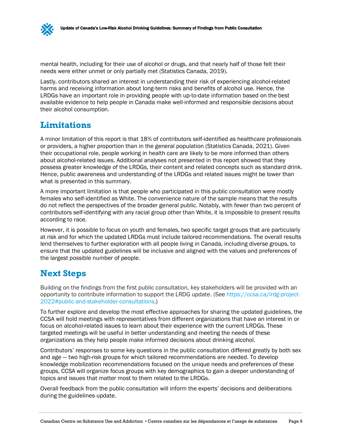mental health, including for their use of alcohol or drugs, and that nearly half of those felt their needs were either unmet or only partially met (Statistics Canada, 2019).

Lastly, contributors shared an interest in understanding their risk of experiencing alcohol-related harms and receiving information about long-term risks and benefits of alcohol use. Hence, the LRDGs have an important role in providing people with up-to-date information based on the best available evidence to help people in Canada make well-informed and responsible decisions about their alcohol consumption.

## <span id="page-10-2"></span><span id="page-10-0"></span>**Limitations**

A minor limitation of this report is that 18% of contributors self-identified as healthcare professionals or providers, a higher proportion than in the general population (Statistics Canada, 2021). Given their occupational role, people working in health care are likely to be more informed than others about alcohol-related issues. Additional analyses not presented in this report showed that they possess greater knowledge of the LRDGs, their content and related concepts such as standard drink. Hence, public awareness and understanding of the LRDGs and related issues might be lower than what is presented in this summary.

A more important limitation is that people who participated in this public consultation were mostly females who self-identified as White. The convenience nature of the sample means that the results do not reflect the perspectives of the broader general public. Notably, with fewer than two percent of contributors self-identifying with any racial group other than White, it is impossible to present results according to race.

However, it is possible to focus on youth and females, two specific target groups that are particularly at risk and for which the updated LRDGs must include tailored recommendations. The overall results lend themselves to further exploration with all people living in Canada, including diverse groups, to ensure that the updated guidelines will be inclusive and aligned with the values and preferences of the largest possible number of people.

# <span id="page-10-3"></span><span id="page-10-1"></span>**Next Steps**

Building on the findings from the first public consultation, key stakeholders will be provided with an opportunity to contribute information to support the LRDG update. (See [https://ccsa.ca/lrdg-project-](https://ccsa.ca/lrdg-project-2022#public-and-stakeholder-consultations)[2022#public-and-stakeholder-consultations.](https://ccsa.ca/lrdg-project-2022#public-and-stakeholder-consultations))

To further explore and develop the most effective approaches for sharing the updated guidelines, the CCSA will hold meetings with representatives from different organizations that have an interest in or focus on alcohol-related issues to learn about their experience with the current LRDGs. These targeted meetings will be useful in better understanding and meeting the needs of these organizations as they help people make informed decisions about drinking alcohol.

Contributors' responses to some key questions in the public consultation differed greatly by both sex and age — two high-risk groups for which tailored recommendations are needed. To develop knowledge mobilization recommendations focused on the unique needs and preferences of these groups, CCSA will organize focus groups with key demographics to gain a deeper understanding of topics and issues that matter most to them related to the LRDGs.

Overall feedback from the public consultation will inform the experts' decisions and deliberations during the guidelines update.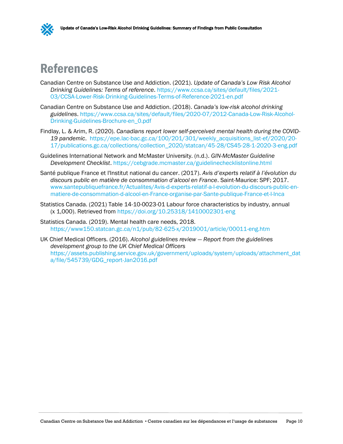

# <span id="page-11-1"></span><span id="page-11-0"></span>References

- Canadian Centre on Substance Use and Addiction. (2021). *Update of Canada's Low Risk Alcohol Drinking Guidelines: Terms of reference*. [https://www.ccsa.ca/sites/default/files/2021-](https://www.ccsa.ca/sites/default/files/2021-03/CCSA-Lower-Risk-Drinking-Guidelines-Terms-of-Reference-2021-en.pdf) [03/CCSA-Lower-Risk-Drinking-Guidelines-Terms-of-Reference-2021-en.pdf](https://www.ccsa.ca/sites/default/files/2021-03/CCSA-Lower-Risk-Drinking-Guidelines-Terms-of-Reference-2021-en.pdf)
- Canadian Centre on Substance Use and Addiction. (2018). *Canada's low-risk alcohol drinking guidelines*. [https://www.ccsa.ca/sites/default/files/2020-07/2012-Canada-Low-Risk-Alcohol-](https://www.ccsa.ca/sites/default/files/2020-07/2012-Canada-Low-Risk-Alcohol-Drinking-Guidelines-Brochure-en_0.pdf)[Drinking-Guidelines-Brochure-en\\_0.pdf](https://www.ccsa.ca/sites/default/files/2020-07/2012-Canada-Low-Risk-Alcohol-Drinking-Guidelines-Brochure-en_0.pdf)
- Findlay, L. & Arim, R. (2020). *Canadians report lower self-perceived mental health during the COVID-19 pandemic*. [https://epe.lac-bac.gc.ca/100/201/301/weekly\\_acquisitions\\_list-ef/2020/20-](https://epe.lac-bac.gc.ca/100/201/301/weekly_acquisitions_list-ef/2020/20-17/publications.gc.ca/collections/collection_2020/statcan/45-28/CS45-28-1-2020-3-eng.pdf) [17/publications.gc.ca/collections/collection\\_2020/statcan/45-28/CS45-28-1-2020-3-eng.pdf](https://epe.lac-bac.gc.ca/100/201/301/weekly_acquisitions_list-ef/2020/20-17/publications.gc.ca/collections/collection_2020/statcan/45-28/CS45-28-1-2020-3-eng.pdf)
- Guidelines International Network and McMaster University. (n.d.). *GIN-McMaster Guideline Development Checklist*.<https://cebgrade.mcmaster.ca/guidelinechecklistonline.html>
- Santé publique France et l'Institut national du cancer. (2017). *Avis d'experts relatif à l'évolution du discours public en matière de consommation d'alcool en France*. Saint-Maurice: SPF; 2017. [www.santepubliquefrance.fr/Actualites/Avis-d-experts-relatif-a-l-evolution-du-discours-public-en](http://www.santepubliquefrance.fr/Actualites/Avis-d-experts-relatif-a-l-evolution-du-discours-public-en-matiere-de-consommation-d-alcool-en-France-organise-par-Sante-publique-France-et-l-Inca)[matiere-de-consommation-d-alcool-en-France-organise-par-Sante-publique-France-et-l-Inca](http://www.santepubliquefrance.fr/Actualites/Avis-d-experts-relatif-a-l-evolution-du-discours-public-en-matiere-de-consommation-d-alcool-en-France-organise-par-Sante-publique-France-et-l-Inca)
- Statistics Canada. (2021) Table 14-10-0023-01 [Labour force characteristics by industry, annual](https://www150.statcan.gc.ca/t1/tbl1/en/tv.action?pid=1410002301)  (x [1,000\).](https://www150.statcan.gc.ca/t1/tbl1/en/tv.action?pid=1410002301) Retrieved from <https://doi.org/10.25318/1410002301-eng>
- Statistics Canada. (2019). Mental health care needs, 2018. <https://www150.statcan.gc.ca/n1/pub/82-625-x/2019001/article/00011-eng.htm>
- UK Chief Medical Officers. (2016). *Alcohol guidelines review — Report from the guidelines development group to the UK Chief Medical Officers* [https://assets.publishing.service.gov.uk/government/uploads/system/uploads/attachment\\_dat](https://assets.publishing.service.gov.uk/government/uploads/system/uploads/attachment_data/file/545739/GDG_report-Jan2016.pdf) [a/file/545739/GDG\\_report-Jan2016.pdf](https://assets.publishing.service.gov.uk/government/uploads/system/uploads/attachment_data/file/545739/GDG_report-Jan2016.pdf)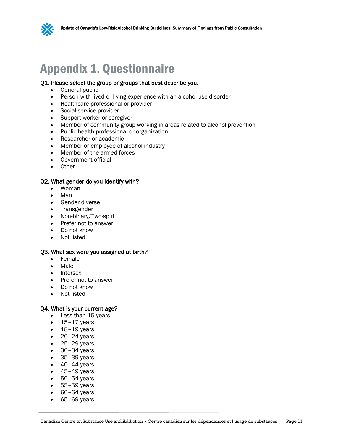

# <span id="page-12-0"></span>Appendix 1. Questionnaire

#### Q1. Please select the group or groups that best describe you.

- <span id="page-12-1"></span>General public
- Person with lived or living experience with an alcohol use disorder
- Healthcare professional or provider
- Social service provider
- Support worker or caregiver
- Member of community group working in areas related to alcohol prevention
- Public health professional or organization
- Researcher or academic
- Member or employee of alcohol industry
- Member of the armed forces
- Government official
- Other

#### Q2. What gender do you identify with?

- Woman
- Man
- Gender diverse
- Transgender
- Non-binary/Two-spirit
- Prefer not to answer
- Do not know
- Not listed

#### Q3. What sex were you assigned at birth?

- Female
- Male
- Intersex
- Prefer not to answer
- Do not know
- Not listed

#### Q4. What is your current age?

- Less than 15 years
- $\bullet$  15–17 years
- $\cdot$  18-19 years
- $\bullet$  20-24 years
- $\bullet$  25-29 years
- 30–34 years
- 35–39 years
- $\bullet$  40–44 years
- $\bullet$  45-49 years
- $\bullet$  50-54 years
- 55–59 years
- $\bullet$  60–64 years
- 65–69 years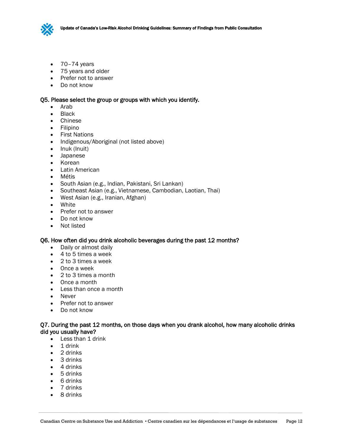

- $\bullet$  70–74 years
- 75 years and older
- Prefer not to answer
- Do not know

#### Q5. Please select the group or groups with which you identify.

- Arab
- Black
- Chinese
- Filipino
- First Nations
- Indigenous/Aboriginal (not listed above)
- Inuk (Inuit)
- Japanese
- Korean
- Latin American
- Métis
- South Asian (e.g., Indian, Pakistani, Sri Lankan)
- Southeast Asian (e.g., Vietnamese, Cambodian, Laotian, Thai)
- West Asian (e.g., Iranian, Afghan)
- White
- Prefer not to answer
- Do not know
- Not listed

#### Q6. How often did you drink alcoholic beverages during the past 12 months?

- Daily or almost daily
- 4 to 5 times a week
- 2 to 3 times a week
- Once a week
- 2 to 3 times a month
- Once a month
- Less than once a month
- Never
- Prefer not to answer
- Do not know

#### Q7. During the past 12 months, on those days when you drank alcohol, how many alcoholic drinks did you usually have?

- Less than 1 drink
- 1 drink
- 2 drinks
- 3 drinks
- 4 drinks
- 5 drinks
- 6 drinks
- 7 drinks
- 8 drinks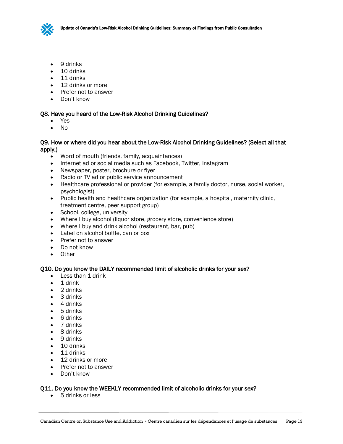

- 9 drinks
- 10 drinks
- 11 drinks
- 12 drinks or more
- Prefer not to answer
- Don't know

#### Q8. Have you heard of the Low-Risk Alcohol Drinking Guidelines?

- Yes
- No

#### Q9. How or where did you hear about the Low-Risk Alcohol Drinking Guidelines? (Select all that apply.)

- Word of mouth (friends, family, acquaintances)
- Internet ad or social media such as Facebook, Twitter, Instagram
- Newspaper, poster, brochure or flyer
- Radio or TV ad or public service announcement
- Healthcare professional or provider (for example, a family doctor, nurse, social worker, psychologist)
- Public health and healthcare organization (for example, a hospital, maternity clinic, treatment centre, peer support group)
- School, college, university
- Where I buy alcohol (liquor store, grocery store, convenience store)
- Where I buy and drink alcohol (restaurant, bar, pub)
- Label on alcohol bottle, can or box
- Prefer not to answer
- Do not know
- Other

#### Q10. Do you know the DAILY recommended limit of alcoholic drinks for your sex?

- Less than 1 drink
- 1 drink
- 2 drinks
- 3 drinks
- 4 drinks
- 5 drinks
- 6 drinks
- 7 drinks
- 8 drinks
- 9 drinks
- 10 drinks
- 11 drinks
- 12 drinks or more
- Prefer not to answer
- Don't know

#### Q11. Do you know the WEEKLY recommended limit of alcoholic drinks for your sex?

• 5 drinks or less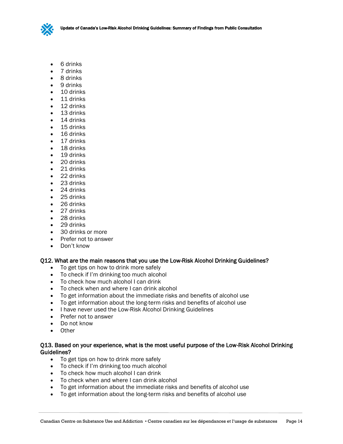

- 6 drinks
- 7 drinks
- 8 drinks
- 9 drinks
- 10 drinks
- 11 drinks
- 12 drinks
- 13 drinks
- 14 drinks
- 15 drinks
- 16 drinks
- 17 drinks
- 18 drinks
- 19 drinks
- 20 drinks
- 21 drinks
- 22 drinks
- 23 drinks
- 24 drinks
- 25 drinks
- 26 drinks
- 27 drinks
- 28 drinks
- 29 drinks
- 30 drinks or more
- Prefer not to answer
- Don't know

#### Q12. What are the main reasons that you use the Low-Risk Alcohol Drinking Guidelines?

- To get tips on how to drink more safely
- To check if I'm drinking too much alcohol
- To check how much alcohol I can drink
- To check when and where I can drink alcohol
- To get information about the immediate risks and benefits of alcohol use
- To get information about the long-term risks and benefits of alcohol use
- I have never used the Low-Risk Alcohol Drinking Guidelines
- Prefer not to answer
- Do not know
- Other

#### Q13. Based on your experience, what is the most useful purpose of the Low-Risk Alcohol Drinking Guidelines?

- To get tips on how to drink more safely
- To check if I'm drinking too much alcohol
- To check how much alcohol I can drink
- To check when and where I can drink alcohol
- To get information about the immediate risks and benefits of alcohol use
- To get information about the long-term risks and benefits of alcohol use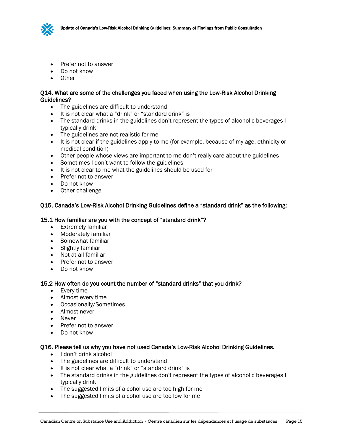

- Prefer not to answer
- Do not know
- Other

#### Q14. What are some of the challenges you faced when using the Low-Risk Alcohol Drinking Guidelines?

- The guidelines are difficult to understand
- It is not clear what a "drink" or "standard drink" is
- The standard drinks in the guidelines don't represent the types of alcoholic beverages I typically drink
- The guidelines are not realistic for me
- It is not clear if the guidelines apply to me (for example, because of my age, ethnicity or medical condition)
- Other people whose views are important to me don't really care about the guidelines
- Sometimes I don't want to follow the guidelines
- It is not clear to me what the guidelines should be used for
- Prefer not to answer
- Do not know
- Other challenge

#### Q15. Canada's Low-Risk Alcohol Drinking Guidelines define a "standard drink" as the following:

#### 15.1 How familiar are you with the concept of "standard drink"?

- Extremely familiar
- Moderately familiar
- Somewhat familiar
- Slightly familiar
- Not at all familiar
- Prefer not to answer
- Do not know

#### 15.2 How often do you count the number of "standard drinks" that you drink?

- Every time
- Almost every time
- Occasionally/Sometimes
- Almost never
- Never
- Prefer not to answer
- Do not know

#### Q16. Please tell us why you have not used Canada's Low-Risk Alcohol Drinking Guidelines.

- I don't drink alcohol
- The guidelines are difficult to understand
- It is not clear what a "drink" or "standard drink" is
- The standard drinks in the guidelines don't represent the types of alcoholic beverages I typically drink
- The suggested limits of alcohol use are too high for me
- The suggested limits of alcohol use are too low for me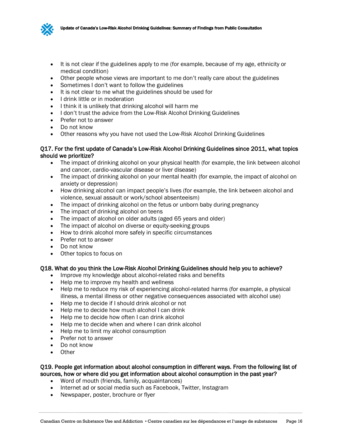

- It is not clear if the guidelines apply to me (for example, because of my age, ethnicity or medical condition)
- Other people whose views are important to me don't really care about the guidelines
- Sometimes I don't want to follow the guidelines
- It is not clear to me what the guidelines should be used for
- I drink little or in moderation
- I think it is unlikely that drinking alcohol will harm me
- I don't trust the advice from the Low-Risk Alcohol Drinking Guidelines
- Prefer not to answer
- Do not know
- Other reasons why you have not used the Low-Risk Alcohol Drinking Guidelines

#### Q17. For the first update of Canada's Low-Risk Alcohol Drinking Guidelines since 2011, what topics should we prioritize?

- The impact of drinking alcohol on your physical health (for example, the link between alcohol and cancer, cardio-vascular disease or liver disease)
- The impact of drinking alcohol on your mental health (for example, the impact of alcohol on anxiety or depression)
- How drinking alcohol can impact people's lives (for example, the link between alcohol and violence, sexual assault or work/school absenteeism)
- The impact of drinking alcohol on the fetus or unborn baby during pregnancy
- The impact of drinking alcohol on teens
- The impact of alcohol on older adults (aged 65 years and older)
- The impact of alcohol on diverse or equity-seeking groups
- How to drink alcohol more safely in specific circumstances
- Prefer not to answer
- Do not know
- Other topics to focus on

#### Q18. What do you think the Low-Risk Alcohol Drinking Guidelines should help you to achieve?

- Improve my knowledge about alcohol-related risks and benefits
- Help me to improve my health and wellness
- Help me to reduce my risk of experiencing alcohol-related harms (for example, a physical illness, a mental illness or other negative consequences associated with alcohol use)
- Help me to decide if I should drink alcohol or not
- Help me to decide how much alcohol I can drink
- Help me to decide how often I can drink alcohol
- Help me to decide when and where I can drink alcohol
- Help me to limit my alcohol consumption
- Prefer not to answer
- Do not know
- Other

### Q19. People get information about alcohol consumption in different ways. From the following list of sources, how or where did you get information about alcohol consumption in the past year?

- Word of mouth (friends, family, acquaintances)
- Internet ad or social media such as Facebook, Twitter, Instagram
- Newspaper, poster, brochure or flyer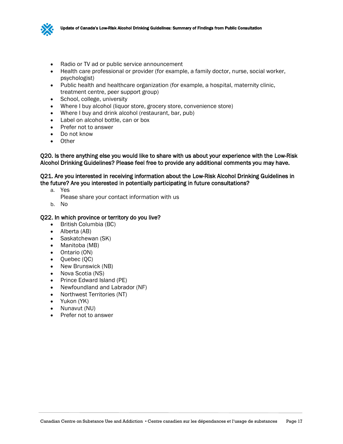

- Radio or TV ad or public service announcement
- Health care professional or provider (for example, a family doctor, nurse, social worker, psychologist)
- Public health and healthcare organization (for example, a hospital, maternity clinic, treatment centre, peer support group)
- School, college, university
- Where I buy alcohol (liquor store, grocery store, convenience store)
- Where I buy and drink alcohol (restaurant, bar, pub)
- Label on alcohol bottle, can or box
- Prefer not to answer
- Do not know
- Other

Q20. Is there anything else you would like to share with us about your experience with the Low-Risk Alcohol Drinking Guidelines? Please feel free to provide any additional comments you may have.

#### Q21. Are you interested in receiving information about the Low-Risk Alcohol Drinking Guidelines in the future? Are you interested in potentially participating in future consultations?

a. Yes

Please share your contact information with us

b. No

#### Q22. In which province or territory do you live?

- British Columbia (BC)
- Alberta (AB)
- Saskatchewan (SK)
- Manitoba (MB)
- Ontario (ON)
- Quebec (QC)
- New Brunswick (NB)
- Nova Scotia (NS)
- Prince Edward Island (PE)
- Newfoundland and Labrador (NF)
- Northwest Territories (NT)
- Yukon (YK)
- Nunavut (NU)
- Prefer not to answer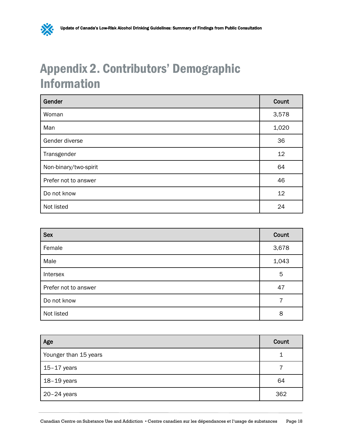# <span id="page-19-1"></span><span id="page-19-0"></span>Appendix 2. Contributors' Demographic Information

 $\mathbf{\mathbf{\infty}}$ 

| Gender                | Count |
|-----------------------|-------|
| Woman                 | 3,578 |
| Man                   | 1,020 |
| Gender diverse        | 36    |
| Transgender           | 12    |
| Non-binary/two-spirit | 64    |
| Prefer not to answer  | 46    |
| Do not know           | 12    |
| Not listed            | 24    |

| <b>Sex</b>           | Count |
|----------------------|-------|
| Female               | 3,678 |
| Male                 | 1,043 |
| Intersex             | 5     |
| Prefer not to answer | 47    |
| Do not know          | 7     |
| Not listed           | 8     |

| Age                   | Count |
|-----------------------|-------|
| Younger than 15 years |       |
| $15-17$ years         |       |
| $18-19$ years         | 64    |
| $20-24$ years         | 362   |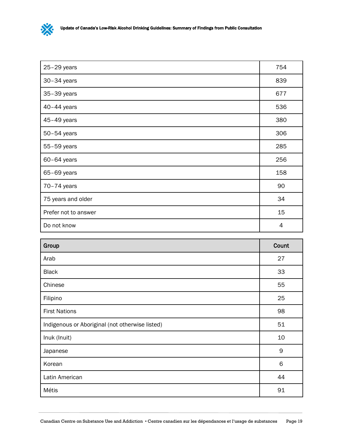

| $25-29$ years        | 754 |
|----------------------|-----|
| $30-34$ years        | 839 |
| 35-39 years          | 677 |
| $40-44$ years        | 536 |
| 45-49 years          | 380 |
| 50-54 years          | 306 |
| 55-59 years          | 285 |
| $60-64$ years        | 256 |
| 65-69 years          | 158 |
| $70-74$ years        | 90  |
| 75 years and older   | 34  |
| Prefer not to answer | 15  |
| Do not know          | 4   |

| Group                                           | Count |
|-------------------------------------------------|-------|
| Arab                                            | 27    |
| <b>Black</b>                                    | 33    |
| Chinese                                         | 55    |
| Filipino                                        | 25    |
| <b>First Nations</b>                            | 98    |
| Indigenous or Aboriginal (not otherwise listed) | 51    |
| Inuk (Inuit)                                    | 10    |
| Japanese                                        | 9     |
| Korean                                          | 6     |
| Latin American                                  | 44    |
| Métis                                           | 91    |